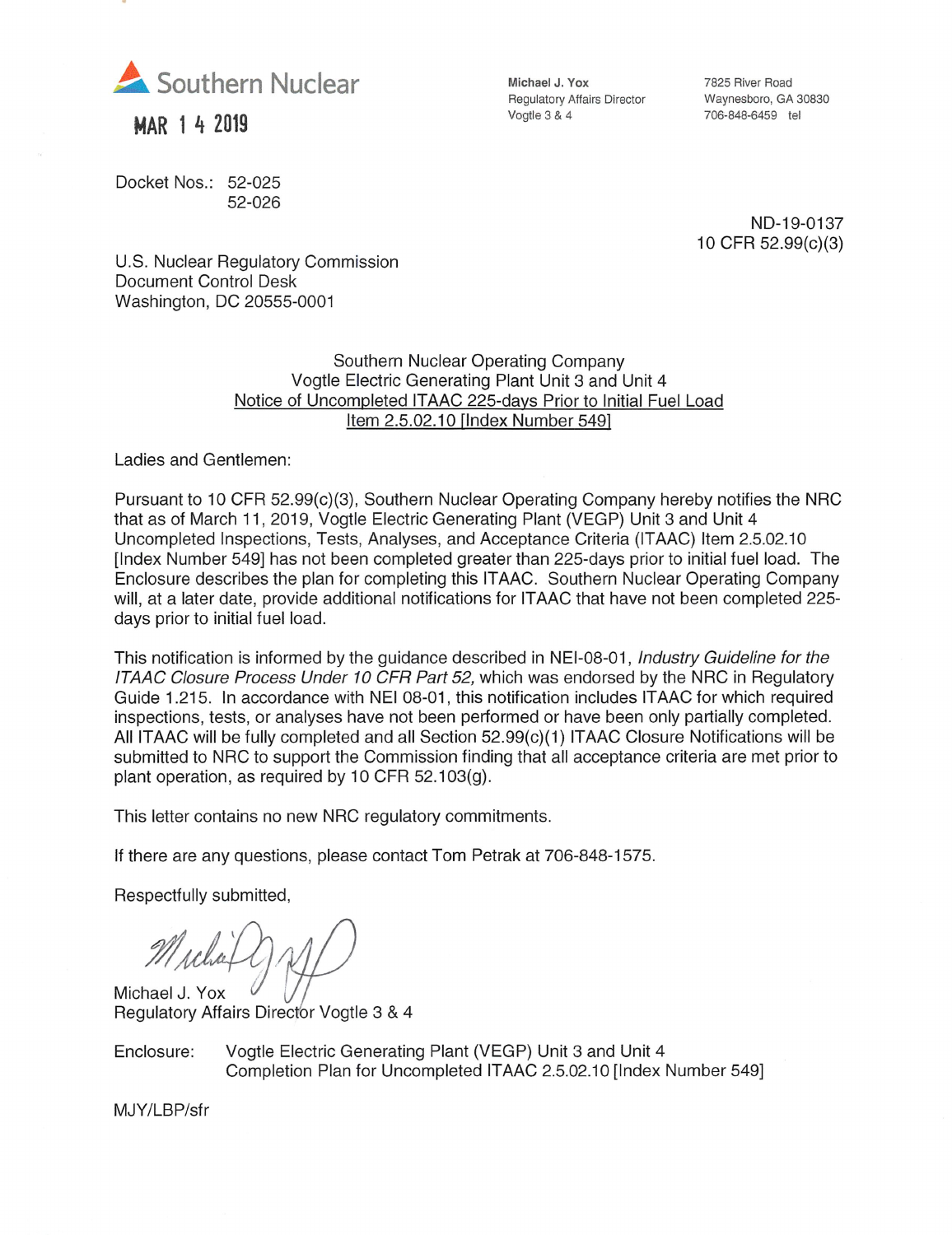

MAR 1 4 2019

Docket Nos.: 52-025 52-026 Michael J. Yox Regulatory Affairs Director Vogtle 3 & 4

7825 River Road Waynesboro, GA 30830 706-848-6459 tel

ND-19-0137 10CFR 52.99(c)(3)

U.S. Nuclear Regulatory Commission Document Control Desk Washington, DC 20555-0001

## Southern Nuclear Operating Company Vogtle Electric Generating Plant Unit 3 and Unit 4 Notice of Uncompleted ITAAC 225-davs Prior to Initial Fuel Load Item 2.5.02.10 (Index Number 5491

Ladies and Gentlemen:

Pursuant to 10 CFR 52.99(c)(3), Southern Nuclear Operating Company hereby notifies the NRC that as of March 11, 2019, Vogtle Electric Generating Plant (VEGP) Unit 3 and Unit 4 Uncompleted Inspections, Tests, Analyses, and Acceptance Criteria (ITAAC) Item 2.5.02.10 [Index Number 549] has not been completed greater than 225-days prior to initial fuel load. The Enclosure describes the plan for completing this ITAAC. Southern Nuclear Operating Company will, at a later date, provide additional notifications for ITAAC that have not been completed 225 days prior to initial fuel load.

This notification is informed by the guidance described in NEI-08-01, Industry Guideline for the ITAAC Closure Process Under 10 CFR Part 52, which was endorsed by the NRC in Regulatory Guide 1.215. In accordance with NEI 08-01, this notification includes ITAAC for which required inspections, tests, or analyses have not been performed or have been only partially completed. All ITAAC will be fully completed and all Section 52.99(c)(1) ITAAC Closure Notifications will be submitted to NRC to support the Commission finding that all acceptance criteria are met prior to plant operation, as required by 10 CFR 52.103(g).

This letter contains no new NRC regulatory commitments.

If there are any questions, please contact Tom Petrak at 706-848-1575.

Respectfully submitted.

Michael J. Yox Regulatory Affairs Director Vogtle 3 & 4

Enclosure: Vogtle Electric Generating Plant (VEGP) Unit 3 and Unit 4 Completion Plan for Uncompleted ITAAC 2.5.02.10 [Index Number 549]

MJY/LBP/sfr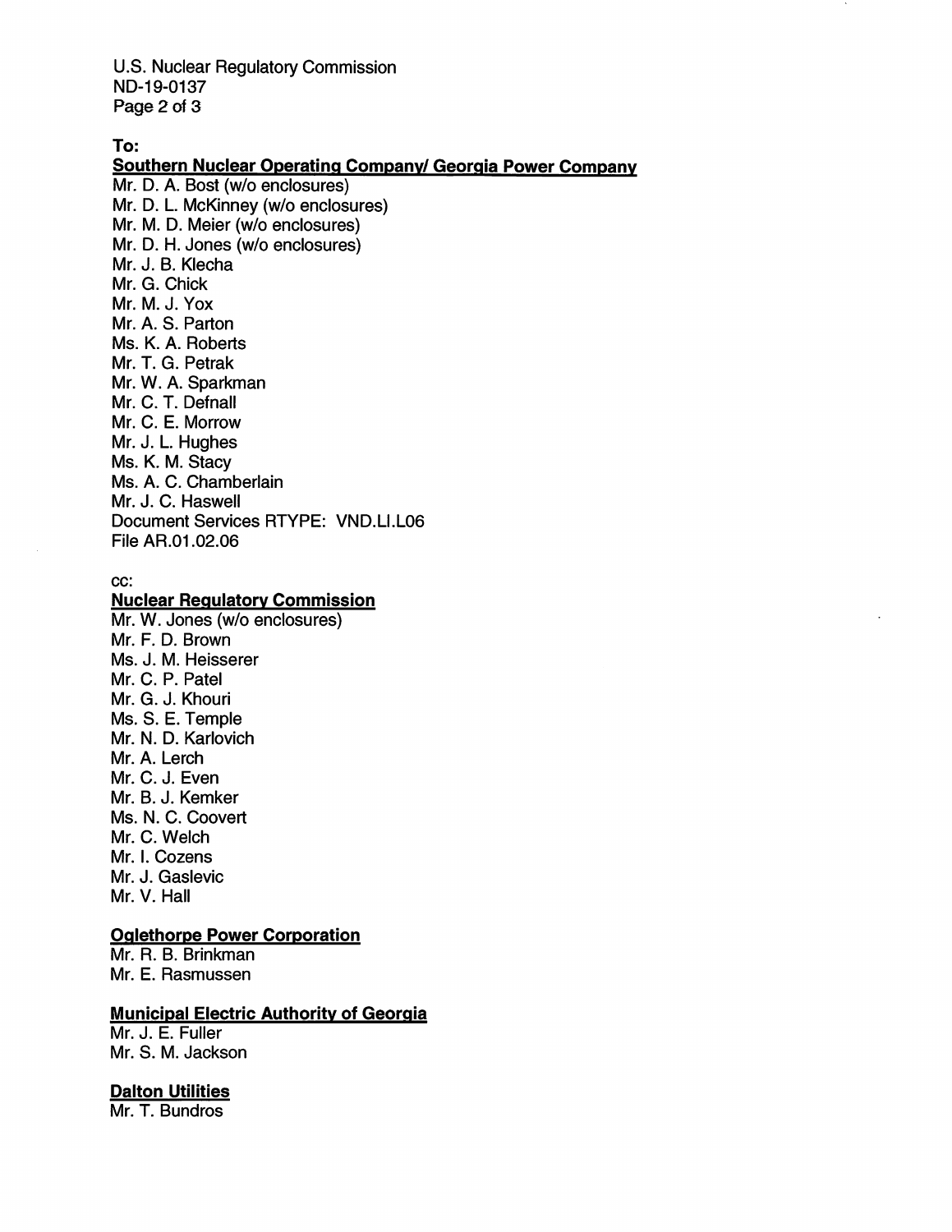U.S. Nuclear Regulatory Commission ND-19-0137 Page 2 of 3

To:

Southern Nuclear Operating Companv/ Georgia Power Company Mr. D. A. Bost (w/o enclosures)

Mr. D. L. McKinney (w/o enclosures) Mr. M. D. Meier (w/o enclosures) Mr. D. H. Jones (w/o enclosures) Mr. J. B. Klecha Mr. G. Chick Mr. M. J. Vox Mr. A. S. Parton Ms. K. A. Roberts Mr. T. G. Petrak Mr. W. A. Sparkman Mr. C. T. Defnall Mr. C. E. Morrow Mr. J. L. Hughes Ms. K. M. Stacy Ms. A. C. Chamberlain Mr. J. C. Haswell Document Services RTYPE: VND.LI.L06 File AR.01.02.06

#### cc:

## **Nuclear Regulatory Commission**

Mr. W. Jones (w/o enclosures) Mr. F. D. Brown Ms. J. M. Heisserer Mr. C. P. Patel Mr. G. J. Khouri Ms. S. E. Temple Mr. N. D. Karlovich Mr. A. Lerch Mr. C. J. Even Mr. B. J. Kemker Ms. N. C. Coovert Mr. C. Welch Mr. I. Cozens Mr. J. Gaslevic Mr. V. Hall

## **Oglethorpe Power Corporation**

Mr. R. B. Brinkman Mr. E. Rasmussen

## **Municipal Electric Authority of Georgia**

Mr. J. E. Fuller Mr. S. M. Jackson

#### **Dalton Utilities**

Mr. T. Bundros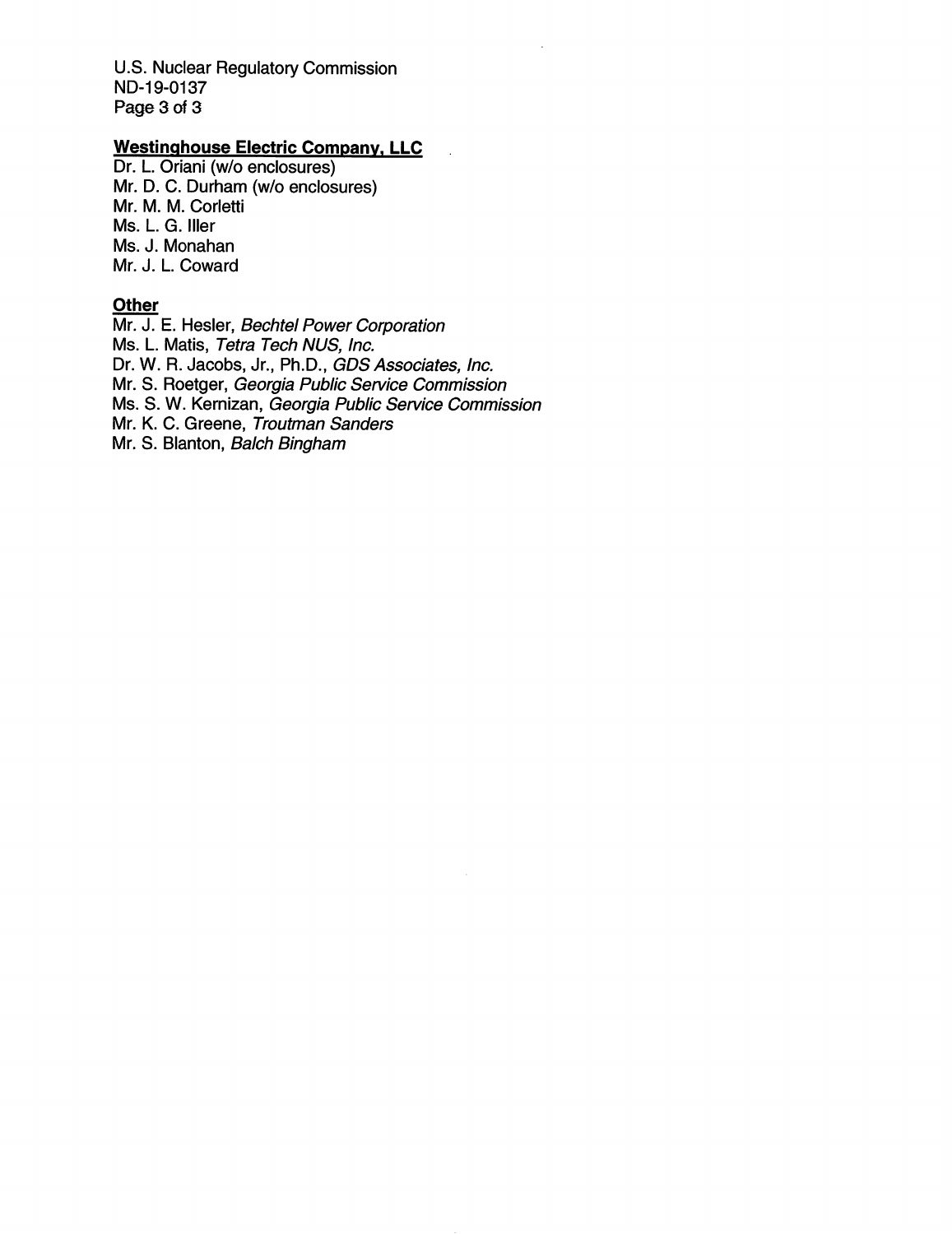U.S. Nuclear Regulatory Commission ND-19-0137 Page 3 of 3

# Westinghouse Electric Company, LLC

Dr. L. Oriani (w/o enclosures) Mr. D. C. Durham (w/o enclosures) Mr. M. M. Corletti Ms. L. G. Iller Ms. J. Monahan Mr. J. L. Coward

#### **Other**

Mr. J. E. Hesler, Bechtel Power Corporation Ms. L. Matis, Tetra Tech NUS, Inc. Dr. W. R. Jacobs, Jr., Ph.D., GDS Associates, Inc. Mr. 8. Roetger, Georgia Public Service Commission Ms. 8. W. Kernizan, Georgia Public Service Commission Mr. K. C. Greene, Troutman Sanders Mr. S. Blanton, Balch Bingham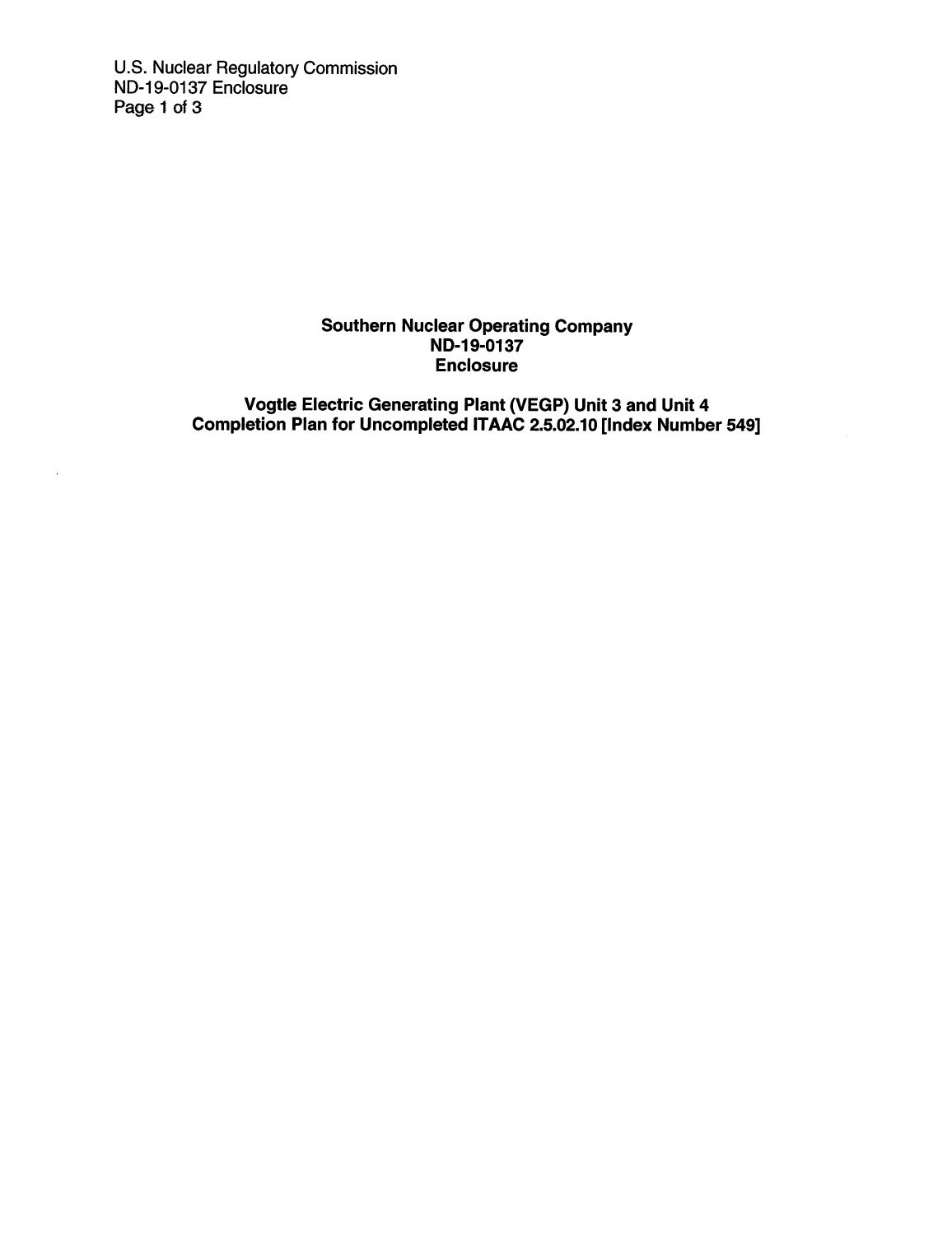U.S. Nuclear Regulatory Commission ND-19-0137 Enclosure Page 1 of 3

### Southern Nuclear Operating Company ND-19-0137 Enclosure

Vogtle Electric Generating Plant (VEGP) Unit 3 and Unit 4 Completion Plan for Uncompleted ITAAC 2.5.02.10 [Index Number 549]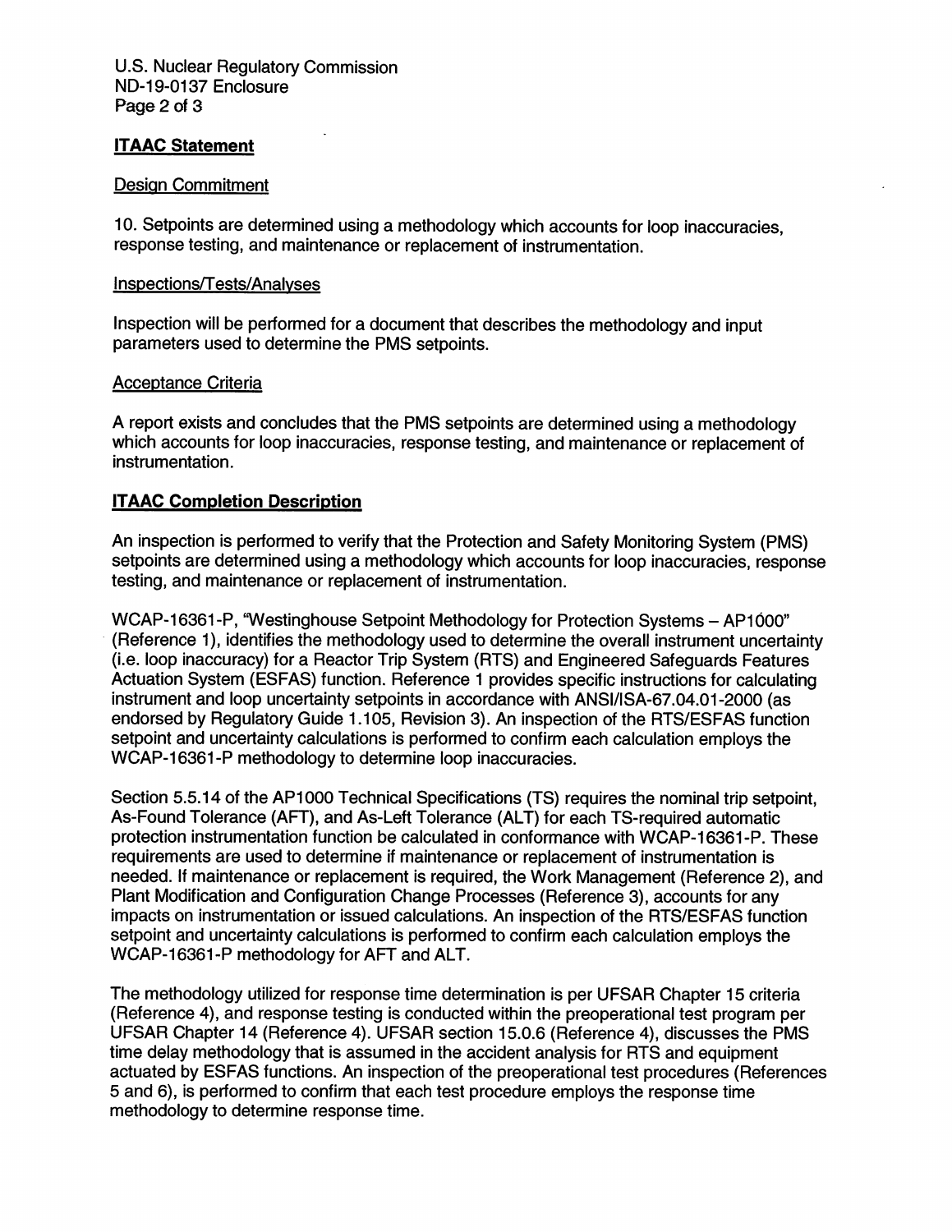## ITAAC Statement

#### Design Commitment

10. Setpoints are determined using a methodology which accounts for loop inaccuracies, response testing, and maintenance or replacement of instrumentation.

#### Inspections/Tests/Analyses

Inspection will be performed for a document that describes the methodology and input parameters used to determine the RMS setpoints.

#### Acceptance Criteria

A report exists and concludes that the PMS setpoints are determined using a methodology which accounts for loop inaccuracies, response testing, and maintenance or replacement of instrumentation.

### ITAAC Completion Description

An inspection is performed to verify that the Protection and Safety Monitoring System (PMS) setpoints are determined using a methodology which accounts for loop inaccuracies, response testing, and maintenance or replacement of instrumentation.

WCAP-16361-P. "Westinghouse Setpoint Methodology for Protection Systems - AP1000" (Reference 1), identifies the methodology used to determine the overall instrument uncertainty (i.e. loop inaccuracy) for a Reactor Trip System (RTS) and Engineered Safeguards Features Actuation System (ESFAS) function. Reference 1 provides specific instructions for calculating instrument and loop uncertainty setpoints in accordance with ANSI/ISA-67.04.01-2000 (as endorsed by Regulatory Guide 1.105, Revision 3). An inspection of the RTS/ESFAS function setpoint and uncertainty calculations is performed to confirm each calculation employs the WCAP-16361-P methodology to determine loop inaccuracies.

Section 5.5.14 of the AP1000 Technical Specifications (TS) requires the nominal trip setpoint, As-Found Tolerance (AFT), and As-Left Tolerance (ALT) for each TS-required automatic protection instrumentation function be calculated in conformance with WCAP-16361-P. These requirements are used to determine if maintenance or replacement of instrumentation is needed. If maintenance or replacement is required, the Work Management (Reference 2), and Plant Modification and Configuration Change Processes (Reference 3), accounts for any impacts on instrumentation or issued calculations. An inspection of the RTS/ESFAS function setpoint and uncertainty calculations is performed to confirm each calculation employs the WCAP-16361-P methodology for AFT and ALT.

The methodology utilized for response time determination is per UFSAR Chapter 15 criteria (Reference 4), and response testing is conducted within the preoperational test program per UFSAR Chapter 14 (Reference 4). UFSAR section 15.0.6 (Reference 4), discusses the PMS time delay methodology that is assumed in the accident analysis for RTS and equipment actuated by ESFAS functions. An inspection of the preoperational test procedures (References 5 and 6), is performed to confirm that each test procedure employs the response time methodology to determine response time.